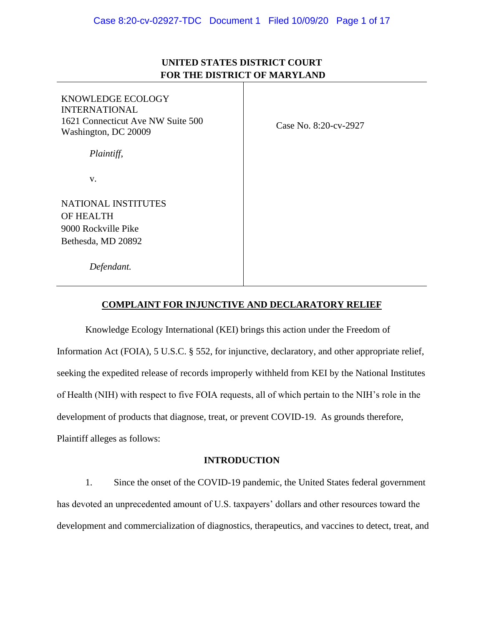# **UNITED STATES DISTRICT COURT FOR THE DISTRICT OF MARYLAND**

| KNOWLEDGE ECOLOGY<br><b>INTERNATIONAL</b><br>1621 Connecticut Ave NW Suite 500<br>Washington, DC 20009 | Case No. 8:20-cv-2927 |
|--------------------------------------------------------------------------------------------------------|-----------------------|
| Plaintiff,                                                                                             |                       |
| V.                                                                                                     |                       |
| <b>NATIONAL INSTITUTES</b>                                                                             |                       |
| <b>OF HEALTH</b>                                                                                       |                       |
| 9000 Rockville Pike                                                                                    |                       |
| Bethesda, MD 20892                                                                                     |                       |
| Defendant.                                                                                             |                       |

# **COMPLAINT FOR INJUNCTIVE AND DECLARATORY RELIEF**

Knowledge Ecology International (KEI) brings this action under the Freedom of Information Act (FOIA), 5 U.S.C. § 552, for injunctive, declaratory, and other appropriate relief, seeking the expedited release of records improperly withheld from KEI by the National Institutes of Health (NIH) with respect to five FOIA requests, all of which pertain to the NIH's role in the development of products that diagnose, treat, or prevent COVID-19. As grounds therefore, Plaintiff alleges as follows:

# **INTRODUCTION**

1. Since the onset of the COVID-19 pandemic, the United States federal government has devoted an unprecedented amount of U.S. taxpayers' dollars and other resources toward the development and commercialization of diagnostics, therapeutics, and vaccines to detect, treat, and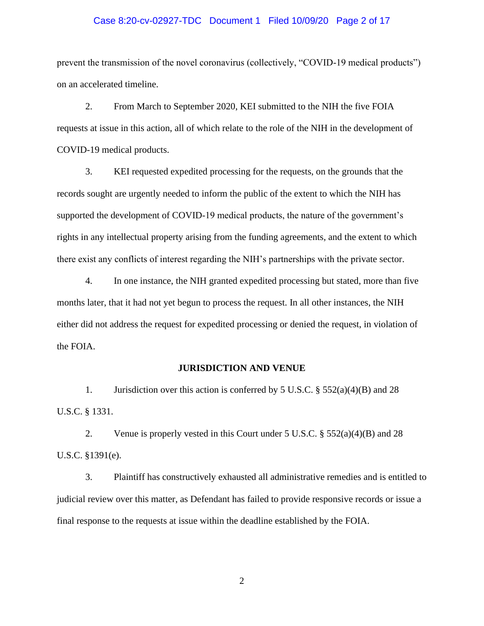## Case 8:20-cv-02927-TDC Document 1 Filed 10/09/20 Page 2 of 17

prevent the transmission of the novel coronavirus (collectively, "COVID-19 medical products") on an accelerated timeline.

2. From March to September 2020, KEI submitted to the NIH the five FOIA requests at issue in this action, all of which relate to the role of the NIH in the development of COVID-19 medical products.

3. KEI requested expedited processing for the requests, on the grounds that the records sought are urgently needed to inform the public of the extent to which the NIH has supported the development of COVID-19 medical products, the nature of the government's rights in any intellectual property arising from the funding agreements, and the extent to which there exist any conflicts of interest regarding the NIH's partnerships with the private sector.

4. In one instance, the NIH granted expedited processing but stated, more than five months later, that it had not yet begun to process the request. In all other instances, the NIH either did not address the request for expedited processing or denied the request, in violation of the FOIA.

### **JURISDICTION AND VENUE**

1. Jurisdiction over this action is conferred by 5 U.S.C.  $\S$  552(a)(4)(B) and 28 U.S.C. § 1331.

2. Venue is properly vested in this Court under 5 U.S.C. § 552(a)(4)(B) and 28 U.S.C. §1391(e).

3. Plaintiff has constructively exhausted all administrative remedies and is entitled to judicial review over this matter, as Defendant has failed to provide responsive records or issue a final response to the requests at issue within the deadline established by the FOIA.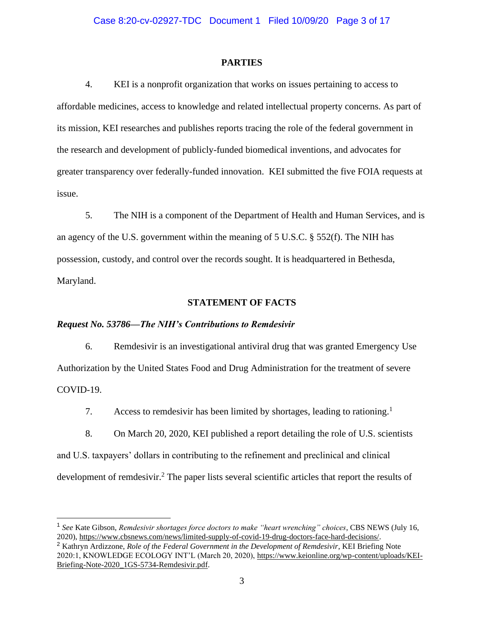#### **PARTIES**

4. KEI is a nonprofit organization that works on issues pertaining to access to affordable medicines, access to knowledge and related intellectual property concerns. As part of its mission, KEI researches and publishes reports tracing the role of the federal government in the research and development of publicly-funded biomedical inventions, and advocates for greater transparency over federally-funded innovation. KEI submitted the five FOIA requests at issue.

5. The NIH is a component of the Department of Health and Human Services, and is an agency of the U.S. government within the meaning of 5 U.S.C. § 552(f). The NIH has possession, custody, and control over the records sought. It is headquartered in Bethesda, Maryland.

### **STATEMENT OF FACTS**

### *Request No. 53786—The NIH's Contributions to Remdesivir*

6. Remdesivir is an investigational antiviral drug that was granted Emergency Use Authorization by the United States Food and Drug Administration for the treatment of severe COVID-19.

7. Access to remdesivir has been limited by shortages, leading to rationing.<sup>1</sup>

8. On March 20, 2020, KEI published a report detailing the role of U.S. scientists and U.S. taxpayers' dollars in contributing to the refinement and preclinical and clinical development of remdesivir.<sup>2</sup> The paper lists several scientific articles that report the results of

<sup>1</sup> See Kate Gibson, *Remdesivir shortages force doctors to make "heart wrenching" choices*, CBS NEWS (July 16, 2020), [https://www.cbsnews.com/news/limited-supply-of-covid-19-drug-doctors-face-hard-decisions/.](https://www.cbsnews.com/news/limited-supply-of-covid-19-drug-doctors-face-hard-decisions/)

<sup>2</sup> Kathryn Ardizzone, *Role of the Federal Government in the Development of Remdesivir*, KEI Briefing Note 2020:1, KNOWLEDGE ECOLOGY INT'L (March 20, 2020), [https://www.keionline.org/wp-content/uploads/KEI-](https://www.keionline.org/wp-content/uploads/KEI-Briefing-Note-2020_1GS-5734-Remdesivir.pdf)[Briefing-Note-2020\\_1GS-5734-Remdesivir.pdf.](https://www.keionline.org/wp-content/uploads/KEI-Briefing-Note-2020_1GS-5734-Remdesivir.pdf)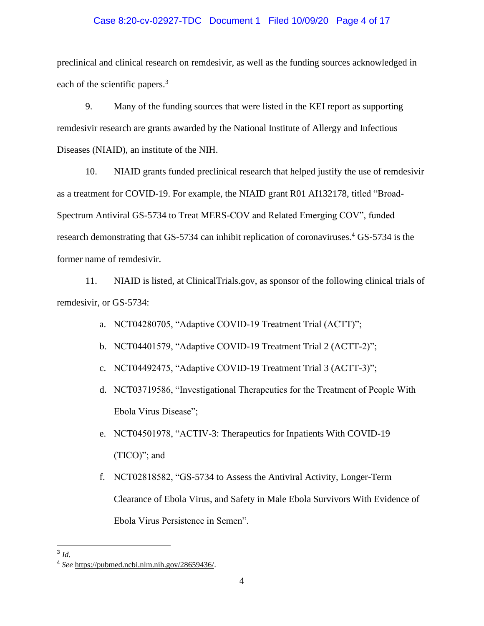# Case 8:20-cv-02927-TDC Document 1 Filed 10/09/20 Page 4 of 17

preclinical and clinical research on remdesivir, as well as the funding sources acknowledged in each of the scientific papers.<sup>3</sup>

9. Many of the funding sources that were listed in the KEI report as supporting remdesivir research are grants awarded by the National Institute of Allergy and Infectious Diseases (NIAID), an institute of the NIH.

10. NIAID grants funded preclinical research that helped justify the use of remdesivir as a treatment for COVID-19. For example, the NIAID grant R01 AI132178, titled "Broad-Spectrum Antiviral GS-5734 to Treat MERS-COV and Related Emerging COV", funded research demonstrating that GS-5734 can inhibit replication of coronaviruses.<sup>4</sup> GS-5734 is the former name of remdesivir.

11. NIAID is listed, at ClinicalTrials.gov, as sponsor of the following clinical trials of remdesivir, or GS-5734:

- a. NCT04280705, "Adaptive COVID-19 Treatment Trial (ACTT)";
- b. NCT04401579, "Adaptive COVID-19 Treatment Trial 2 (ACTT-2)";
- c. NCT04492475, "Adaptive COVID-19 Treatment Trial 3 (ACTT-3)";
- d. NCT03719586, "Investigational Therapeutics for the Treatment of People With Ebola Virus Disease";
- e. NCT04501978, "ACTIV-3: Therapeutics for Inpatients With COVID-19 (TICO)"; and
- f. NCT02818582, "GS-5734 to Assess the Antiviral Activity, Longer-Term Clearance of Ebola Virus, and Safety in Male Ebola Survivors With Evidence of Ebola Virus Persistence in Semen".

<sup>3</sup> *Id.* 

<sup>4</sup> *See* [https://pubmed.ncbi.nlm.nih.gov/28659436/.](https://pubmed.ncbi.nlm.nih.gov/28659436/)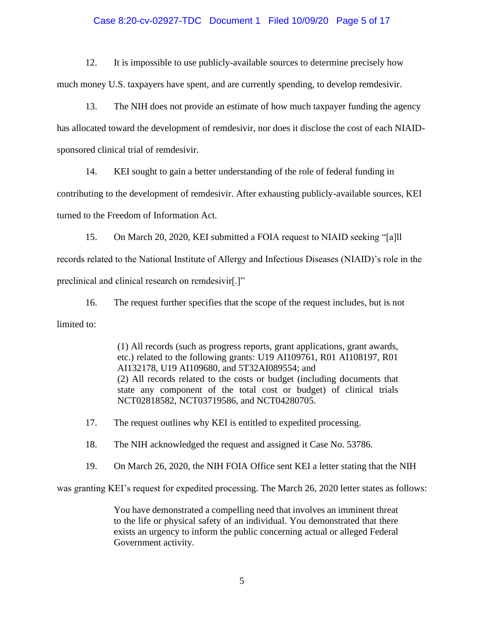# Case 8:20-cv-02927-TDC Document 1 Filed 10/09/20 Page 5 of 17

12. It is impossible to use publicly-available sources to determine precisely how much money U.S. taxpayers have spent, and are currently spending, to develop remdesivir.

13. The NIH does not provide an estimate of how much taxpayer funding the agency has allocated toward the development of remdesivir, nor does it disclose the cost of each NIAIDsponsored clinical trial of remdesivir.

14. KEI sought to gain a better understanding of the role of federal funding in

contributing to the development of remdesivir. After exhausting publicly-available sources, KEI

turned to the Freedom of Information Act.

15. On March 20, 2020, KEI submitted a FOIA request to NIAID seeking "[a]ll records related to the National Institute of Allergy and Infectious Diseases (NIAID)'s role in the preclinical and clinical research on remdesivir[.]"

16. The request further specifies that the scope of the request includes, but is not limited to:

> (1) All records (such as progress reports, grant applications, grant awards, etc.) related to the following grants: U19 AI109761, R01 AI108197, R01 AI132178, U19 AI109680, and 5T32AI089554; and (2) All records related to the costs or budget (including documents that state any component of the total cost or budget) of clinical trials NCT02818582, NCT03719586, and NCT04280705.

17. The request outlines why KEI is entitled to expedited processing.

18. The NIH acknowledged the request and assigned it Case No. 53786.

19. On March 26, 2020, the NIH FOIA Office sent KEI a letter stating that the NIH

was granting KEI's request for expedited processing. The March 26, 2020 letter states as follows:

You have demonstrated a compelling need that involves an imminent threat to the life or physical safety of an individual. You demonstrated that there exists an urgency to inform the public concerning actual or alleged Federal Government activity.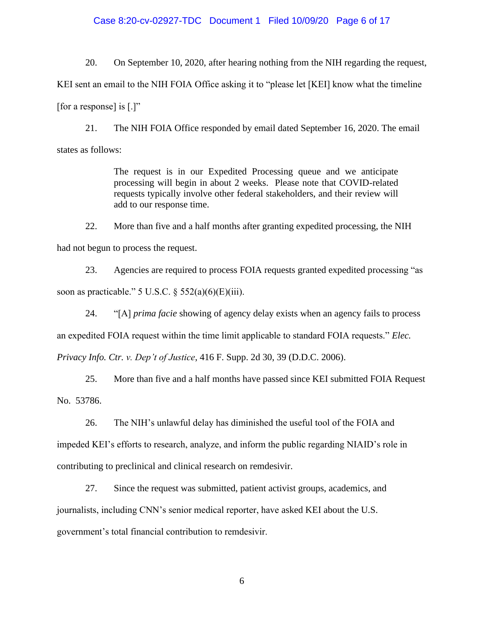## Case 8:20-cv-02927-TDC Document 1 Filed 10/09/20 Page 6 of 17

20. On September 10, 2020, after hearing nothing from the NIH regarding the request, KEI sent an email to the NIH FOIA Office asking it to "please let [KEI] know what the timeline [for a response] is  $[.]$ "

21. The NIH FOIA Office responded by email dated September 16, 2020. The email states as follows:

> The request is in our Expedited Processing queue and we anticipate processing will begin in about 2 weeks. Please note that COVID-related requests typically involve other federal stakeholders, and their review will add to our response time.

22. More than five and a half months after granting expedited processing, the NIH had not begun to process the request.

23. Agencies are required to process FOIA requests granted expedited processing "as soon as practicable." 5 U.S.C.  $\S$  552(a)(6)(E)(iii).

24. "[A] *prima facie* showing of agency delay exists when an agency fails to process an expedited FOIA request within the time limit applicable to standard FOIA requests." *Elec. Privacy Info. Ctr. v. Dep't of Justice*, 416 F. Supp. 2d 30, 39 (D.D.C. 2006).

25. More than five and a half months have passed since KEI submitted FOIA Request No. 53786.

26. The NIH's unlawful delay has diminished the useful tool of the FOIA and impeded KEI's efforts to research, analyze, and inform the public regarding NIAID's role in contributing to preclinical and clinical research on remdesivir.

27. Since the request was submitted, patient activist groups, academics, and journalists, including CNN's senior medical reporter, have asked KEI about the U.S. government's total financial contribution to remdesivir.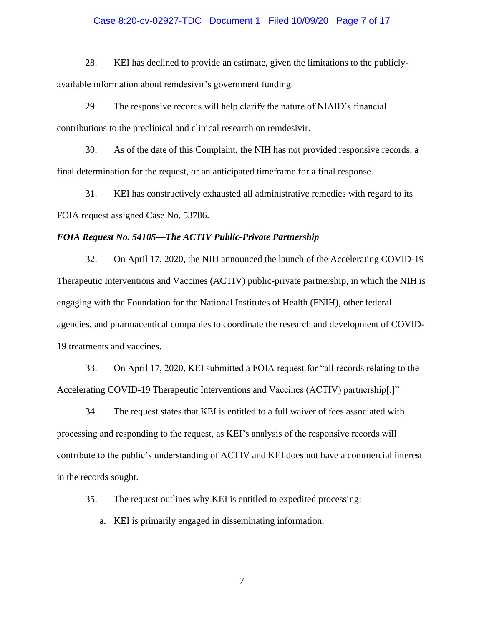## Case 8:20-cv-02927-TDC Document 1 Filed 10/09/20 Page 7 of 17

28. KEI has declined to provide an estimate, given the limitations to the publiclyavailable information about remdesivir's government funding.

29. The responsive records will help clarify the nature of NIAID's financial contributions to the preclinical and clinical research on remdesivir.

30. As of the date of this Complaint, the NIH has not provided responsive records, a final determination for the request, or an anticipated timeframe for a final response.

31. KEI has constructively exhausted all administrative remedies with regard to its FOIA request assigned Case No. 53786.

### *FOIA Request No. 54105—The ACTIV Public-Private Partnership*

32. On April 17, 2020, the NIH announced the launch of the Accelerating COVID-19 Therapeutic Interventions and Vaccines (ACTIV) public-private partnership, in which the NIH is engaging with the Foundation for the National Institutes of Health (FNIH), other federal agencies, and pharmaceutical companies to coordinate the research and development of COVID-19 treatments and vaccines.

33. On April 17, 2020, KEI submitted a FOIA request for "all records relating to the Accelerating COVID-19 Therapeutic Interventions and Vaccines (ACTIV) partnership[.]"

34. The request states that KEI is entitled to a full waiver of fees associated with processing and responding to the request, as KEI's analysis of the responsive records will contribute to the public's understanding of ACTIV and KEI does not have a commercial interest in the records sought.

35. The request outlines why KEI is entitled to expedited processing:

a. KEI is primarily engaged in disseminating information.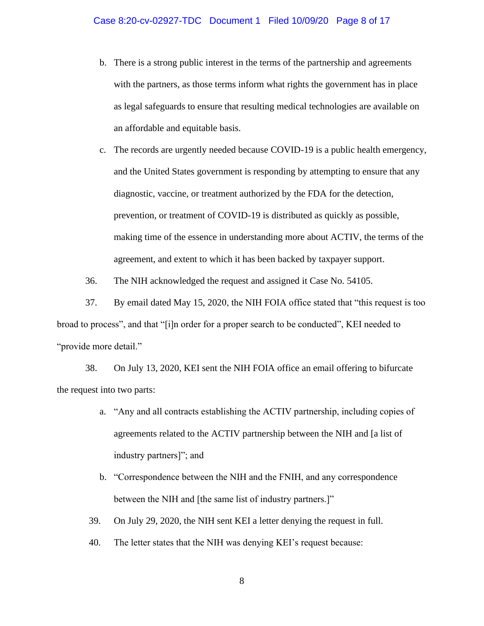b. There is a strong public interest in the terms of the partnership and agreements with the partners, as those terms inform what rights the government has in place as legal safeguards to ensure that resulting medical technologies are available on an affordable and equitable basis.

c. The records are urgently needed because COVID-19 is a public health emergency, and the United States government is responding by attempting to ensure that any diagnostic, vaccine, or treatment authorized by the FDA for the detection, prevention, or treatment of COVID-19 is distributed as quickly as possible, making time of the essence in understanding more about ACTIV, the terms of the agreement, and extent to which it has been backed by taxpayer support.

36. The NIH acknowledged the request and assigned it Case No. 54105.

37. By email dated May 15, 2020, the NIH FOIA office stated that "this request is too broad to process", and that "[i]n order for a proper search to be conducted", KEI needed to "provide more detail."

38. On July 13, 2020, KEI sent the NIH FOIA office an email offering to bifurcate the request into two parts:

- a. "Any and all contracts establishing the ACTIV partnership, including copies of agreements related to the ACTIV partnership between the NIH and [a list of industry partners]"; and
- b. "Correspondence between the NIH and the FNIH, and any correspondence between the NIH and [the same list of industry partners.]"
- 39. On July 29, 2020, the NIH sent KEI a letter denying the request in full.
- 40. The letter states that the NIH was denying KEI's request because: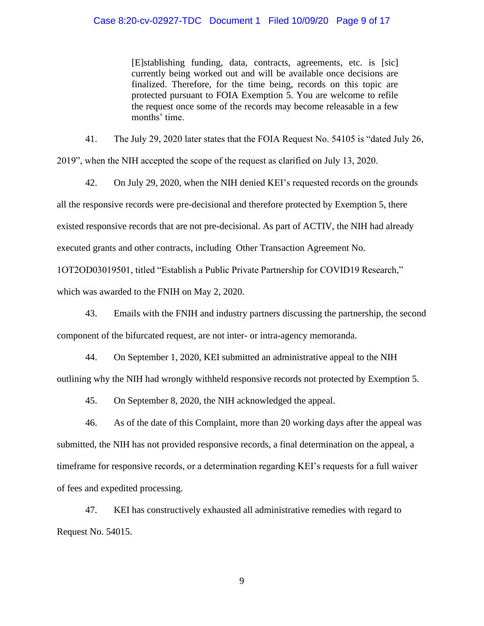[E]stablishing funding, data, contracts, agreements, etc. is [sic] currently being worked out and will be available once decisions are finalized. Therefore, for the time being, records on this topic are protected pursuant to FOIA Exemption 5. You are welcome to refile the request once some of the records may become releasable in a few months' time.

41. The July 29, 2020 later states that the FOIA Request No. 54105 is "dated July 26, 2019", when the NIH accepted the scope of the request as clarified on July 13, 2020.

42. On July 29, 2020, when the NIH denied KEI's requested records on the grounds all the responsive records were pre-decisional and therefore protected by Exemption 5, there existed responsive records that are not pre-decisional. As part of ACTIV, the NIH had already executed grants and other contracts, including Other Transaction Agreement No.

1OT2OD03019501, titled "Establish a Public Private Partnership for COVID19 Research,"

which was awarded to the FNIH on May 2, 2020.

43. Emails with the FNIH and industry partners discussing the partnership, the second component of the bifurcated request, are not inter- or intra-agency memoranda.

44. On September 1, 2020, KEI submitted an administrative appeal to the NIH outlining why the NIH had wrongly withheld responsive records not protected by Exemption 5.

45. On September 8, 2020, the NIH acknowledged the appeal.

46. As of the date of this Complaint, more than 20 working days after the appeal was submitted, the NIH has not provided responsive records, a final determination on the appeal, a timeframe for responsive records, or a determination regarding KEI's requests for a full waiver of fees and expedited processing.

47. KEI has constructively exhausted all administrative remedies with regard to Request No. 54015.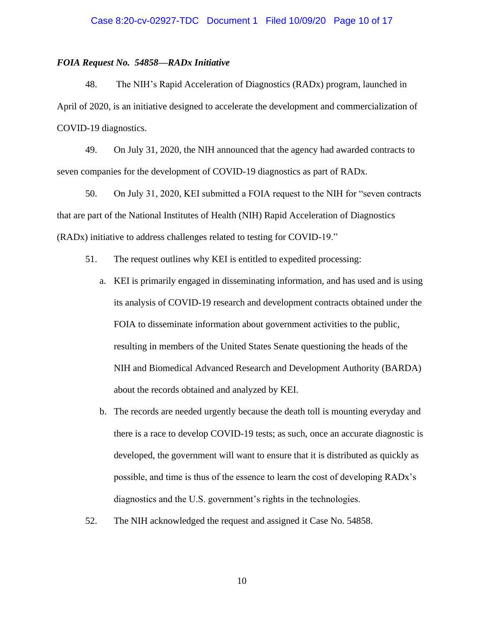## Case 8:20-cv-02927-TDC Document 1 Filed 10/09/20 Page 10 of 17

#### *FOIA Request No. 54858—RADx Initiative*

48. The NIH's Rapid Acceleration of Diagnostics (RADx) program, launched in April of 2020, is an initiative designed to accelerate the development and commercialization of COVID-19 diagnostics.

49. On July 31, 2020, the NIH announced that the agency had awarded contracts to seven companies for the development of COVID-19 diagnostics as part of RADx.

50. On July 31, 2020, KEI submitted a FOIA request to the NIH for "seven contracts that are part of the National Institutes of Health (NIH) Rapid Acceleration of Diagnostics (RADx) initiative to address challenges related to testing for COVID-19."

- 51. The request outlines why KEI is entitled to expedited processing:
	- a. KEI is primarily engaged in disseminating information, and has used and is using its analysis of COVID-19 research and development contracts obtained under the FOIA to disseminate information about government activities to the public, resulting in members of the United States Senate questioning the heads of the NIH and Biomedical Advanced Research and Development Authority (BARDA) about the records obtained and analyzed by KEI.
	- b. The records are needed urgently because the death toll is mounting everyday and there is a race to develop COVID-19 tests; as such, once an accurate diagnostic is developed, the government will want to ensure that it is distributed as quickly as possible, and time is thus of the essence to learn the cost of developing RADx's diagnostics and the U.S. government's rights in the technologies.
- 52. The NIH acknowledged the request and assigned it Case No. 54858.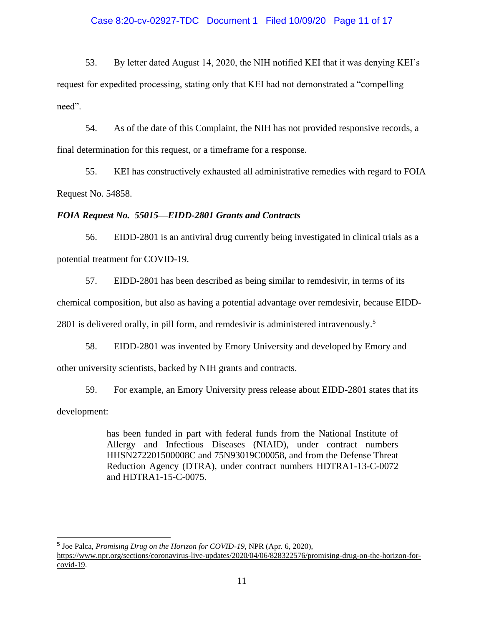# Case 8:20-cv-02927-TDC Document 1 Filed 10/09/20 Page 11 of 17

53. By letter dated August 14, 2020, the NIH notified KEI that it was denying KEI's request for expedited processing, stating only that KEI had not demonstrated a "compelling need".

54. As of the date of this Complaint, the NIH has not provided responsive records, a final determination for this request, or a timeframe for a response.

55. KEI has constructively exhausted all administrative remedies with regard to FOIA Request No. 54858.

# *FOIA Request No. 55015—EIDD-2801 Grants and Contracts*

56. EIDD-2801 is an antiviral drug currently being investigated in clinical trials as a potential treatment for COVID-19.

57. EIDD-2801 has been described as being similar to remdesivir, in terms of its chemical composition, but also as having a potential advantage over remdesivir, because EIDD-2801 is delivered orally, in pill form, and remdesivir is administered intravenously.<sup>5</sup>

58. EIDD-2801 was invented by Emory University and developed by Emory and other university scientists, backed by NIH grants and contracts.

59. For example, an Emory University press release about EIDD-2801 states that its development:

> has been funded in part with federal funds from the National Institute of Allergy and Infectious Diseases (NIAID), under contract numbers HHSN272201500008C and 75N93019C00058, and from the Defense Threat Reduction Agency (DTRA), under contract numbers HDTRA1-13-C-0072 and HDTRA1-15-C-0075.

5 Joe Palca, *Promising Drug on the Horizon for COVID-19*, NPR (Apr. 6, 2020),

[https://www.npr.org/sections/coronavirus-live-updates/2020/04/06/828322576/promising-drug-on-the-horizon-for](https://www.npr.org/sections/coronavirus-live-updates/2020/04/06/828322576/promising-drug-on-the-horizon-for-covid-19)[covid-19.](https://www.npr.org/sections/coronavirus-live-updates/2020/04/06/828322576/promising-drug-on-the-horizon-for-covid-19)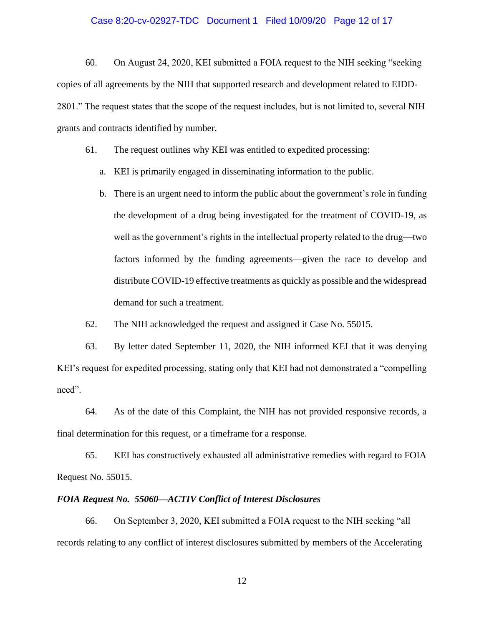## Case 8:20-cv-02927-TDC Document 1 Filed 10/09/20 Page 12 of 17

60. On August 24, 2020, KEI submitted a FOIA request to the NIH seeking "seeking copies of all agreements by the NIH that supported research and development related to EIDD-2801." The request states that the scope of the request includes, but is not limited to, several NIH grants and contracts identified by number.

61. The request outlines why KEI was entitled to expedited processing:

- a. KEI is primarily engaged in disseminating information to the public.
- b. There is an urgent need to inform the public about the government's role in funding the development of a drug being investigated for the treatment of COVID-19, as well as the government's rights in the intellectual property related to the drug—two factors informed by the funding agreements—given the race to develop and distribute COVID-19 effective treatments as quickly as possible and the widespread demand for such a treatment.

62. The NIH acknowledged the request and assigned it Case No. 55015.

63. By letter dated September 11, 2020, the NIH informed KEI that it was denying KEI's request for expedited processing, stating only that KEI had not demonstrated a "compelling need".

64. As of the date of this Complaint, the NIH has not provided responsive records, a final determination for this request, or a timeframe for a response.

65. KEI has constructively exhausted all administrative remedies with regard to FOIA Request No. 55015.

### *FOIA Request No. 55060—ACTIV Conflict of Interest Disclosures*

66. On September 3, 2020, KEI submitted a FOIA request to the NIH seeking "all records relating to any conflict of interest disclosures submitted by members of the Accelerating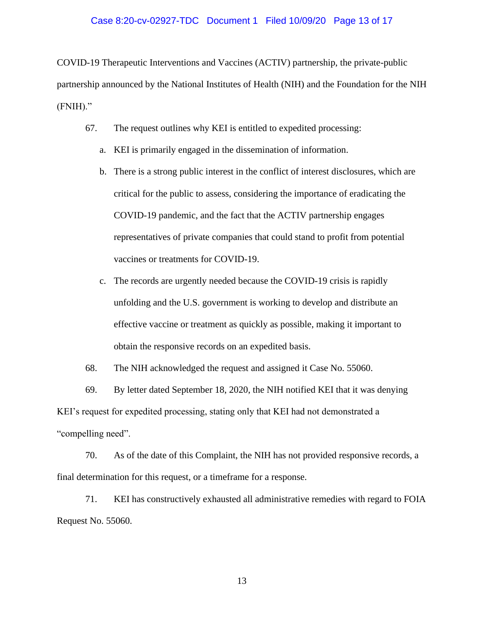## Case 8:20-cv-02927-TDC Document 1 Filed 10/09/20 Page 13 of 17

COVID-19 Therapeutic Interventions and Vaccines (ACTIV) partnership, the private-public partnership announced by the National Institutes of Health (NIH) and the Foundation for the NIH (FNIH)."

- 67. The request outlines why KEI is entitled to expedited processing:
	- a. KEI is primarily engaged in the dissemination of information.
	- b. There is a strong public interest in the conflict of interest disclosures, which are critical for the public to assess, considering the importance of eradicating the COVID-19 pandemic, and the fact that the ACTIV partnership engages representatives of private companies that could stand to profit from potential vaccines or treatments for COVID-19.
	- c. The records are urgently needed because the COVID-19 crisis is rapidly unfolding and the U.S. government is working to develop and distribute an effective vaccine or treatment as quickly as possible, making it important to obtain the responsive records on an expedited basis.

68. The NIH acknowledged the request and assigned it Case No. 55060.

69. By letter dated September 18, 2020, the NIH notified KEI that it was denying KEI's request for expedited processing, stating only that KEI had not demonstrated a "compelling need".

70. As of the date of this Complaint, the NIH has not provided responsive records, a final determination for this request, or a timeframe for a response.

71. KEI has constructively exhausted all administrative remedies with regard to FOIA Request No. 55060.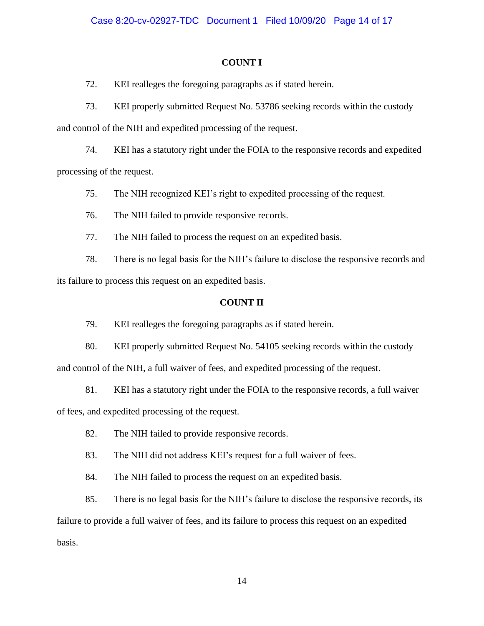# **COUNT I**

72. KEI realleges the foregoing paragraphs as if stated herein.

73. KEI properly submitted Request No. 53786 seeking records within the custody and control of the NIH and expedited processing of the request.

74. KEI has a statutory right under the FOIA to the responsive records and expedited processing of the request.

75. The NIH recognized KEI's right to expedited processing of the request.

76. The NIH failed to provide responsive records.

77. The NIH failed to process the request on an expedited basis.

78. There is no legal basis for the NIH's failure to disclose the responsive records and its failure to process this request on an expedited basis.

# **COUNT II**

79. KEI realleges the foregoing paragraphs as if stated herein.

80. KEI properly submitted Request No. 54105 seeking records within the custody and control of the NIH, a full waiver of fees, and expedited processing of the request.

81. KEI has a statutory right under the FOIA to the responsive records, a full waiver of fees, and expedited processing of the request.

82. The NIH failed to provide responsive records.

83. The NIH did not address KEI's request for a full waiver of fees.

84. The NIH failed to process the request on an expedited basis.

85. There is no legal basis for the NIH's failure to disclose the responsive records, its failure to provide a full waiver of fees, and its failure to process this request on an expedited basis.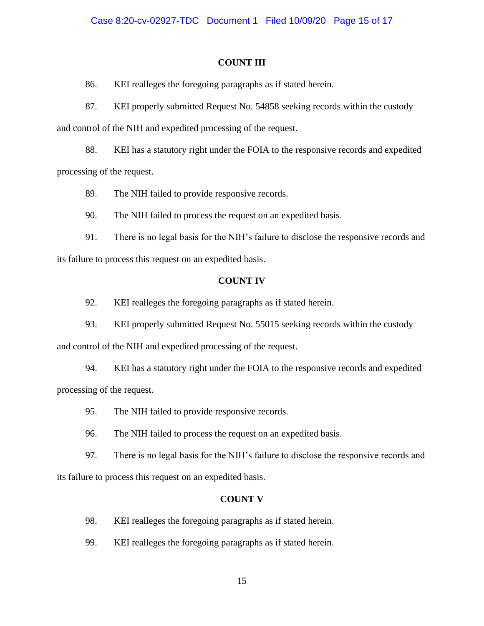### **COUNT III**

86. KEI realleges the foregoing paragraphs as if stated herein.

87. KEI properly submitted Request No. 54858 seeking records within the custody and control of the NIH and expedited processing of the request.

88. KEI has a statutory right under the FOIA to the responsive records and expedited processing of the request.

89. The NIH failed to provide responsive records.

90. The NIH failed to process the request on an expedited basis.

91. There is no legal basis for the NIH's failure to disclose the responsive records and its failure to process this request on an expedited basis.

### **COUNT IV**

92. KEI realleges the foregoing paragraphs as if stated herein.

93. KEI properly submitted Request No. 55015 seeking records within the custody and control of the NIH and expedited processing of the request.

94. KEI has a statutory right under the FOIA to the responsive records and expedited processing of the request.

95. The NIH failed to provide responsive records.

96. The NIH failed to process the request on an expedited basis.

97. There is no legal basis for the NIH's failure to disclose the responsive records and its failure to process this request on an expedited basis.

### **COUNT V**

98. KEI realleges the foregoing paragraphs as if stated herein.

99. KEI realleges the foregoing paragraphs as if stated herein.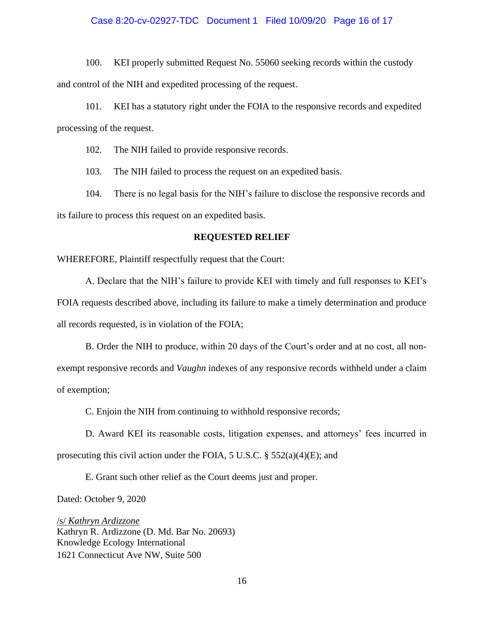## Case 8:20-cv-02927-TDC Document 1 Filed 10/09/20 Page 16 of 17

100. KEI properly submitted Request No. 55060 seeking records within the custody and control of the NIH and expedited processing of the request.

101. KEI has a statutory right under the FOIA to the responsive records and expedited processing of the request.

102. The NIH failed to provide responsive records.

103. The NIH failed to process the request on an expedited basis.

104. There is no legal basis for the NIH's failure to disclose the responsive records and its failure to process this request on an expedited basis.

#### **REQUESTED RELIEF**

WHEREFORE, Plaintiff respectfully request that the Court:

A. Declare that the NIH's failure to provide KEI with timely and full responses to KEI's FOIA requests described above, including its failure to make a timely determination and produce all records requested, is in violation of the FOIA;

B. Order the NIH to produce, within 20 days of the Court's order and at no cost, all nonexempt responsive records and *Vaughn* indexes of any responsive records withheld under a claim of exemption;

C. Enjoin the NIH from continuing to withhold responsive records;

D. Award KEI its reasonable costs, litigation expenses, and attorneys' fees incurred in prosecuting this civil action under the FOIA, 5 U.S.C.  $\S$  552(a)(4)(E); and

E. Grant such other relief as the Court deems just and proper.

Dated: October 9, 2020

/s/ *Kathryn Ardizzone* Kathryn R. Ardizzone (D. Md. Bar No. 20693) Knowledge Ecology International 1621 Connecticut Ave NW, Suite 500